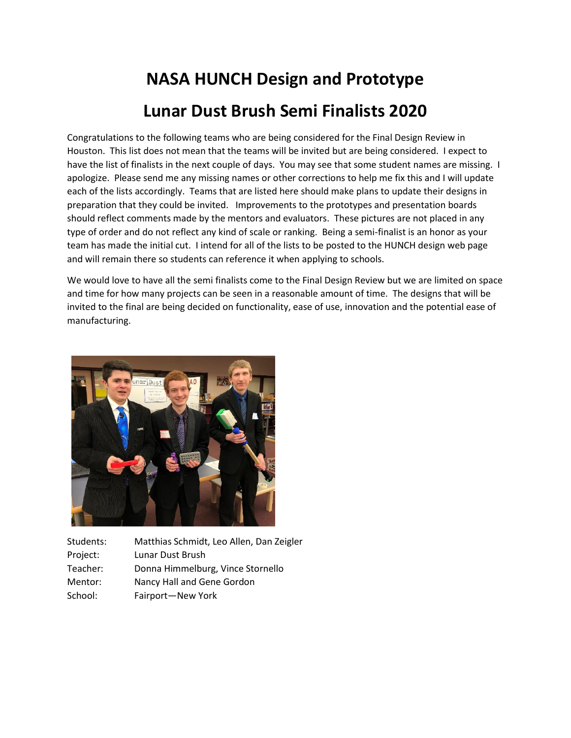## **NASA HUNCH Design and Prototype Lunar Dust Brush Semi Finalists 2020**

Congratulations to the following teams who are being considered for the Final Design Review in Houston. This list does not mean that the teams will be invited but are being considered. I expect to have the list of finalists in the next couple of days. You may see that some student names are missing. I apologize. Please send me any missing names or other corrections to help me fix this and I will update each of the lists accordingly. Teams that are listed here should make plans to update their designs in preparation that they could be invited. Improvements to the prototypes and presentation boards should reflect comments made by the mentors and evaluators. These pictures are not placed in any type of order and do not reflect any kind of scale or ranking. Being a semi-finalist is an honor as your team has made the initial cut. I intend for all of the lists to be posted to the HUNCH design web page and will remain there so students can reference it when applying to schools.

We would love to have all the semi finalists come to the Final Design Review but we are limited on space and time for how many projects can be seen in a reasonable amount of time. The designs that will be invited to the final are being decided on functionality, ease of use, innovation and the potential ease of manufacturing.



| Students: | Matthias Schmidt, Leo Allen, Dan Zeigler |
|-----------|------------------------------------------|
| Project:  | Lunar Dust Brush                         |
| Teacher:  | Donna Himmelburg, Vince Stornello        |
| Mentor:   | Nancy Hall and Gene Gordon               |
| School:   | Fairport-New York                        |
|           |                                          |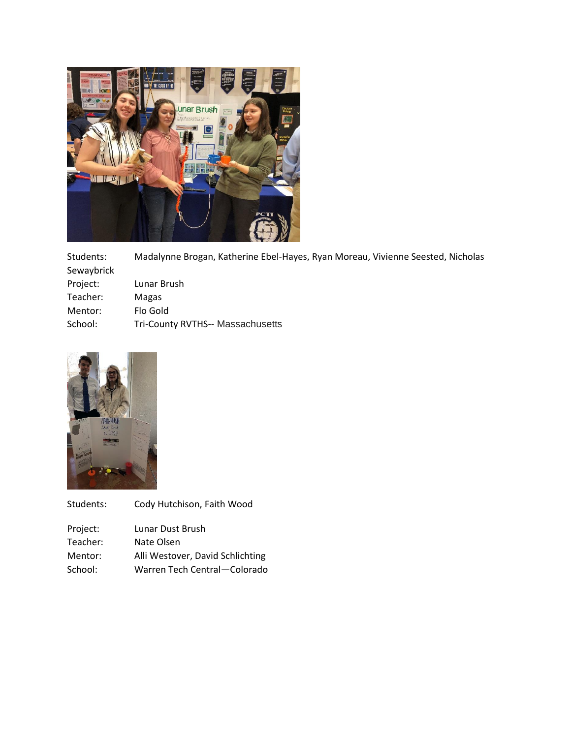

Students: Madalynne Brogan, Katherine Ebel-Hayes, Ryan Moreau, Vivienne Seested, Nicholas Sewaybrick Project: Lunar Brush Teacher: Magas Mentor: Flo Gold School: Tri-County RVTHS-- Massachusetts



| Students: | Cody Hutchison, Faith Wood       |
|-----------|----------------------------------|
| Project:  | Lunar Dust Brush                 |
| Teacher:  | Nate Olsen                       |
| Mentor:   | Alli Westover, David Schlichting |
| School:   | Warren Tech Central-Colorado     |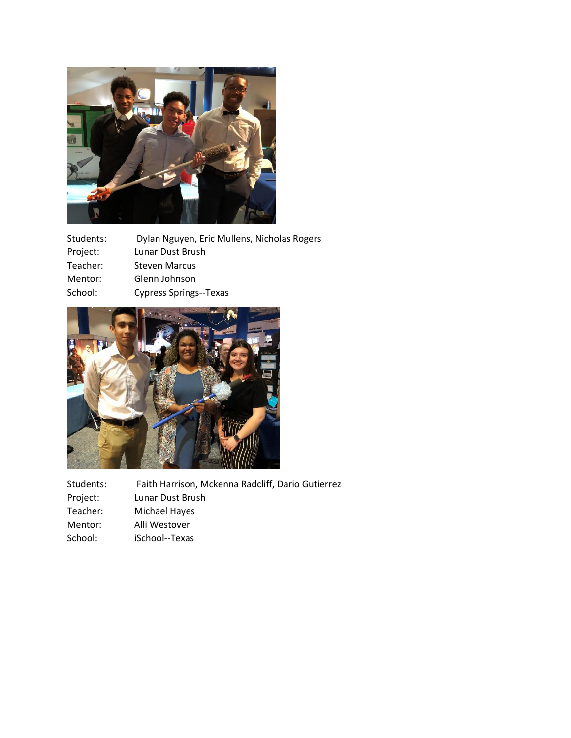

| Dylan Nguyen, Eric Mullens, Nicholas Rogers |
|---------------------------------------------|
| Lunar Dust Brush                            |
| <b>Steven Marcus</b>                        |
| Glenn Johnson                               |
| <b>Cypress Springs--Texas</b>               |
|                                             |



Students: Faith Harrison, Mckenna Radcliff, Dario Gutierrez<br>Project: Lunar Dust Brush Lunar Dust Brush Teacher: Michael Hayes<br>
Mentor: Alli Westover Alli Westover School: iSchool--Texas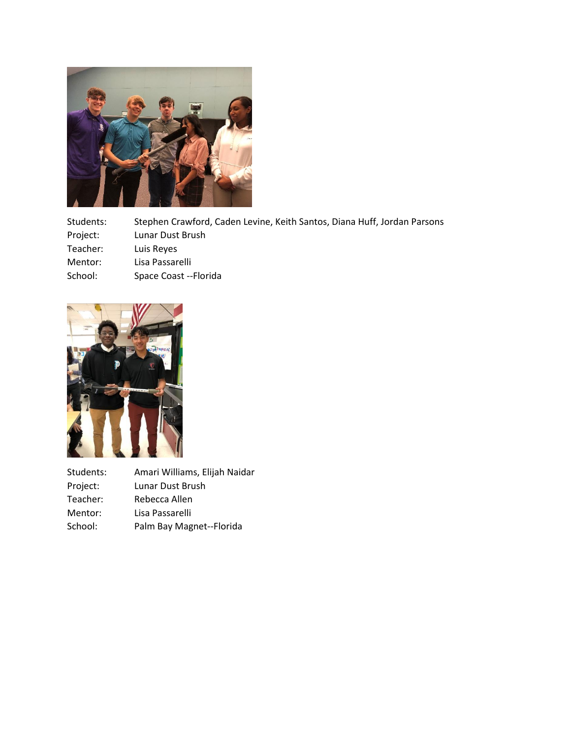

Students: Stephen Crawford, Caden Levine, Keith Santos, Diana Huff, Jordan Parsons Project: Lunar Dust Brush Teacher: Luis Reyes Mentor: Lisa Passarelli School: Space Coast --Florida



| Students: | Amari Williams, Elijah Naidar |
|-----------|-------------------------------|
| Project:  | Lunar Dust Brush              |
| Teacher:  | Rebecca Allen                 |
| Mentor:   | Lisa Passarelli               |
| School:   | Palm Bay Magnet--Florida      |
|           |                               |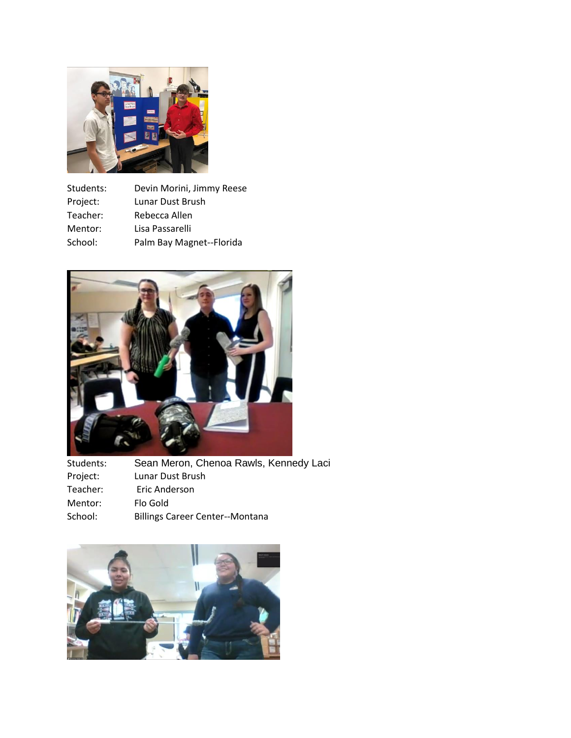

| Students: | Devin Morini, Jimmy Reese |
|-----------|---------------------------|
| Project:  | Lunar Dust Brush          |
| Teacher:  | Rebecca Allen             |
| Mentor:   | Lisa Passarelli           |
| School:   | Palm Bay Magnet--Florida  |



| Students: | Sean Meron, Chenoa Rawls, Kennedy Laci |
|-----------|----------------------------------------|
| Project:  | Lunar Dust Brush                       |
| Teacher:  | Eric Anderson                          |
| Mentor:   | Flo Gold                               |
| School:   | <b>Billings Career Center--Montana</b> |